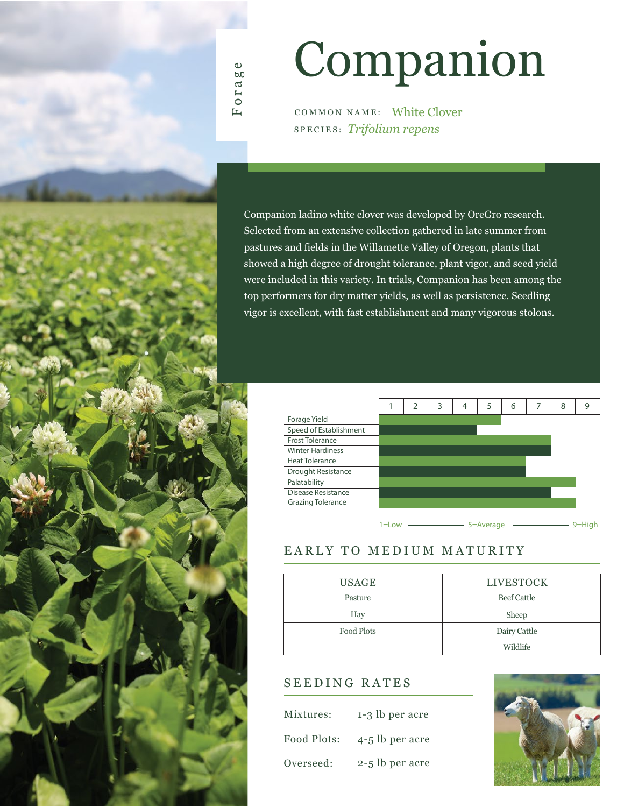

# Companion

COMMON NAME: White Clover SPECIES: *Trifolium repens*

Companion ladino white clover was developed by OreGro research. Selected from an extensive collection gathered in late summer from pastures and fields in the Willamette Valley of Oregon, plants that showed a high degree of drought tolerance, plant vigor, and seed yield were included in this variety. In trials, Companion has been among the top performers for dry matter yields, as well as persistence. Seedling vigor is excellent, with fast establishment and many vigorous stolons.

|                          |        | 2 | 3 | 4 | 5              | 6 | 8 | 9         |
|--------------------------|--------|---|---|---|----------------|---|---|-----------|
| Forage Yield             |        |   |   |   |                |   |   |           |
| Speed of Establishment   |        |   |   |   |                |   |   |           |
| <b>Frost Tolerance</b>   |        |   |   |   |                |   |   |           |
| <b>Winter Hardiness</b>  |        |   |   |   |                |   |   |           |
| <b>Heat Tolerance</b>    |        |   |   |   |                |   |   |           |
| Drought Resistance       |        |   |   |   |                |   |   |           |
| Palatability             |        |   |   |   |                |   |   |           |
| Disease Resistance       |        |   |   |   |                |   |   |           |
| <b>Grazing Tolerance</b> |        |   |   |   |                |   |   |           |
|                          |        |   |   |   |                |   |   |           |
|                          | 1=l ow |   |   |   | $5 = A$ verage |   |   | $9=$ High |

#### EARLY TO MEDIUM MATURITY

| <b>USAGE</b> | <b>LIVESTOCK</b>   |
|--------------|--------------------|
| Pasture      | <b>Beef Cattle</b> |
| Hay          | Sheep              |
| Food Plots   | Dairy Cattle       |
|              | Wildlife           |

### SEEDING RATES

| Mixtures:   | 1-3 lb per acre |
|-------------|-----------------|
| Food Plots: | 4-5 lb per acre |
| Overseed:   | 2-5 lb per acre |